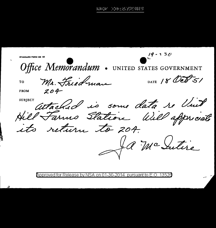19 - 2311 TANDARD FORM NO Office Memorandum . UNITED STATES GOVERNMENT DATE 18 Oct 51 Mr. Friedman **TO**  $204$ **FROM** SUBJECT Attached is some data so lint **SUBIECT** Ja Mc Sutire

Approved for Release by NSA on 01-30-2014 pursuant to E.O. 13526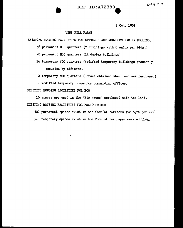$100439$ 

## **REF ID:A72389**

*3* Oct. 1951

## VINT HILL FARMS

EXISTING HOUSING FACILITIES FOR OFFICERS AND NON-COMS FAMILY HOUSING.

56 permanent NCO quarters (7 buildings with 8 units per bldg.)

28 permanent NCO quarters (14 duplex buildings)

16 temporary NCO quarters (Modified temporary buildings presently occupied by officers.

2 temporary NCO quarters (Houses obtained when land was purchased)

1 modified temporary house for commanding officer.

## EXISTING HOUSING FACILITIES FOR BOQ

16 spaces are used in the "Big House" purchased with the land. EXISTING HOUSING FACILITIES FOR ENLISTED MEH

500 permanent spaces exist in the form of barracks (72 sqft per man)

 $548$  temporary spaces exist in the form of tar paper covered blog.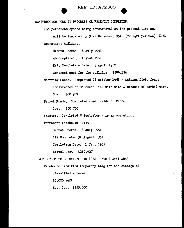

REF ID:A72389<br>
CONSTRUCTION WORK IN PROGRESS OR RECENTLY COMPLETED.

165 permanent spaces being constructed at the present tire and will be finished by 31st December 1951. (72 sqft per man) E.M. Operations Building.

Ground Broken 6 July 1951

4% Completed 31 August 1951

Est. Completion Date. *3* April 1952

Contract cost for the buildigg \$599,176

Security Fence. Completed 26 October 1951 - Antenna field fence constructed of 81 chain link wire with 4 stranas of barbed wire. Cost. \$60,987

Patrol Roads. Completed road inside of fence.

Cost. \$50, 750

Theater. Corpleted 5 September - is in operation.

Permanent Warehouse, Post

Ground Broked. 6 July 1951

11% Completed 31 August 1951

Completion Date. 1 Jan. 1952

Actual Cost \$217,927

CONSTRUCTION TO BE STARTED IN 1952. FUNDS AVAILABLE

Warehouse, Modified temporary bldg for the storage of classified material.

30,000 sqft

Est. Cost \$155,000